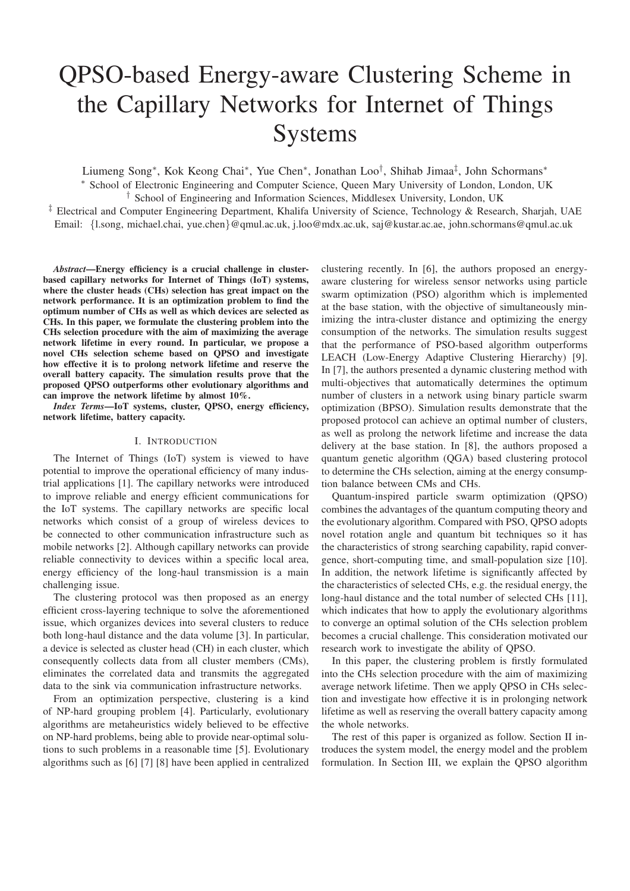# QPSO-based Energy-aware Clustering Scheme in the Capillary Networks for Internet of Things Systems

Liumeng Song<sup>∗</sup> , Kok Keong Chai<sup>∗</sup> , Yue Chen<sup>∗</sup> , Jonathan Loo† , Shihab Jimaa‡ , John Schormans<sup>∗</sup> <sup>∗</sup> School of Electronic Engineering and Computer Science, Queen Mary University of London, London, UK

† School of Engineering and Information Sciences, Middlesex University, London, UK

‡ Electrical and Computer Engineering Department, Khalifa University of Science, Technology & Research, Sharjah, UAE Email: {l.song, michael.chai, yue.chen}@qmul.ac.uk, j.loo@mdx.ac.uk, saj@kustar.ac.ae, john.schormans@qmul.ac.uk

*Abstract*—Energy efficiency is a crucial challenge in clusterbased capillary networks for Internet of Things (IoT) systems, where the cluster heads (CHs) selection has great impact on the network performance. It is an optimization problem to find the optimum number of CHs as well as which devices are selected as CHs. In this paper, we formulate the clustering problem into the CHs selection procedure with the aim of maximizing the average network lifetime in every round. In particular, we propose a novel CHs selection scheme based on QPSO and investigate how effective it is to prolong network lifetime and reserve the overall battery capacity. The simulation results prove that the proposed QPSO outperforms other evolutionary algorithms and can improve the network lifetime by almost 10%.

*Index Terms*—IoT systems, cluster, QPSO, energy efficiency, network lifetime, battery capacity.

#### I. INTRODUCTION

The Internet of Things (IoT) system is viewed to have potential to improve the operational efficiency of many industrial applications [1]. The capillary networks were introduced to improve reliable and energy efficient communications for the IoT systems. The capillary networks are specific local networks which consist of a group of wireless devices to be connected to other communication infrastructure such as mobile networks [2]. Although capillary networks can provide reliable connectivity to devices within a specific local area, energy efficiency of the long-haul transmission is a main challenging issue.

The clustering protocol was then proposed as an energy efficient cross-layering technique to solve the aforementioned issue, which organizes devices into several clusters to reduce both long-haul distance and the data volume [3]. In particular, a device is selected as cluster head (CH) in each cluster, which consequently collects data from all cluster members (CMs), eliminates the correlated data and transmits the aggregated data to the sink via communication infrastructure networks.

From an optimization perspective, clustering is a kind of NP-hard grouping problem [4]. Particularly, evolutionary algorithms are metaheuristics widely believed to be effective on NP-hard problems, being able to provide near-optimal solutions to such problems in a reasonable time [5]. Evolutionary algorithms such as [6] [7] [8] have been applied in centralized

clustering recently. In [6], the authors proposed an energyaware clustering for wireless sensor networks using particle swarm optimization (PSO) algorithm which is implemented at the base station, with the objective of simultaneously minimizing the intra-cluster distance and optimizing the energy consumption of the networks. The simulation results suggest that the performance of PSO-based algorithm outperforms LEACH (Low-Energy Adaptive Clustering Hierarchy) [9]. In [7], the authors presented a dynamic clustering method with multi-objectives that automatically determines the optimum number of clusters in a network using binary particle swarm optimization (BPSO). Simulation results demonstrate that the proposed protocol can achieve an optimal number of clusters, as well as prolong the network lifetime and increase the data delivery at the base station. In [8], the authors proposed a quantum genetic algorithm (QGA) based clustering protocol to determine the CHs selection, aiming at the energy consumption balance between CMs and CHs.

Quantum-inspired particle swarm optimization (QPSO) combines the advantages of the quantum computing theory and the evolutionary algorithm. Compared with PSO, QPSO adopts novel rotation angle and quantum bit techniques so it has the characteristics of strong searching capability, rapid convergence, short-computing time, and small-population size [10]. In addition, the network lifetime is significantly affected by the characteristics of selected CHs, e.g. the residual energy, the long-haul distance and the total number of selected CHs [11], which indicates that how to apply the evolutionary algorithms to converge an optimal solution of the CHs selection problem becomes a crucial challenge. This consideration motivated our research work to investigate the ability of QPSO.

In this paper, the clustering problem is firstly formulated into the CHs selection procedure with the aim of maximizing average network lifetime. Then we apply QPSO in CHs selection and investigate how effective it is in prolonging network lifetime as well as reserving the overall battery capacity among the whole networks.

The rest of this paper is organized as follow. Section II introduces the system model, the energy model and the problem formulation. In Section III, we explain the QPSO algorithm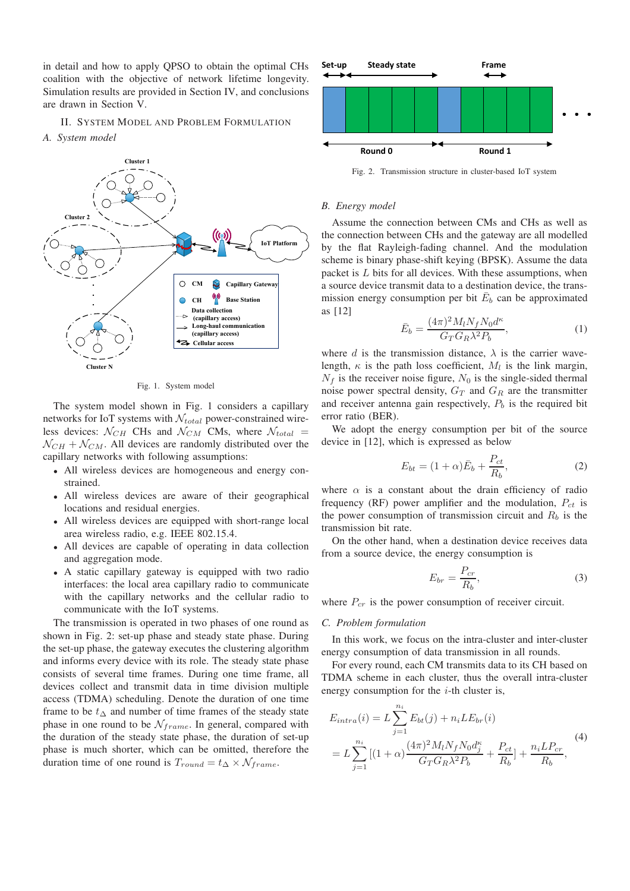in detail and how to apply QPSO to obtain the optimal CHs coalition with the objective of network lifetime longevity. Simulation results are provided in Section IV, and conclusions are drawn in Section V.

## II. SYSTEM MODEL AND PROBLEM FORMULATION

*A. System model*



Fig. 1. System model

The system model shown in Fig. 1 considers a capillary networks for IoT systems with  $\mathcal{N}_{total}$  power-constrained wireless devices:  $N_{CH}$  CHs and  $N_{CM}$  CMs, where  $N_{total}$  =  $N_{CH} + N_{CM}$ . All devices are randomly distributed over the capillary networks with following assumptions:

- All wireless devices are homogeneous and energy constrained.
- All wireless devices are aware of their geographical locations and residual energies.
- All wireless devices are equipped with short-range local area wireless radio, e.g. IEEE 802.15.4.
- All devices are capable of operating in data collection and aggregation mode.
- A static capillary gateway is equipped with two radio interfaces: the local area capillary radio to communicate with the capillary networks and the cellular radio to communicate with the IoT systems.

The transmission is operated in two phases of one round as shown in Fig. 2: set-up phase and steady state phase. During the set-up phase, the gateway executes the clustering algorithm and informs every device with its role. The steady state phase consists of several time frames. During one time frame, all devices collect and transmit data in time division multiple access (TDMA) scheduling. Denote the duration of one time frame to be  $t_{\Delta}$  and number of time frames of the steady state phase in one round to be  $\mathcal{N}_{frame}$ . In general, compared with the duration of the steady state phase, the duration of set-up phase is much shorter, which can be omitted, therefore the duration time of one round is  $T_{round} = t_{\Delta} \times \mathcal{N}_{frame}$ .



Fig. 2. Transmission structure in cluster-based IoT system

#### *B. Energy model*

Assume the connection between CMs and CHs as well as the connection between CHs and the gateway are all modelled by the flat Rayleigh-fading channel. And the modulation scheme is binary phase-shift keying (BPSK). Assume the data packet is  $L$  bits for all devices. With these assumptions, when a source device transmit data to a destination device, the transmission energy consumption per bit  $\bar{E}_b$  can be approximated as [12]

$$
\bar{E}_b = \frac{(4\pi)^2 M_l N_f N_0 d^{\kappa}}{G_T G_R \lambda^2 P_b},\tag{1}
$$

where d is the transmission distance,  $\lambda$  is the carrier wavelength,  $\kappa$  is the path loss coefficient,  $M_l$  is the link margin,  $N_f$  is the receiver noise figure,  $N_0$  is the single-sided thermal noise power spectral density,  $G_T$  and  $G_R$  are the transmitter and receiver antenna gain respectively,  $P<sub>b</sub>$  is the required bit error ratio (BER).

We adopt the energy consumption per bit of the source device in [12], which is expressed as below

$$
E_{bt} = (1+\alpha)\bar{E}_b + \frac{P_{ct}}{R_b},\tag{2}
$$

where  $\alpha$  is a constant about the drain efficiency of radio frequency (RF) power amplifier and the modulation,  $P_{ct}$  is the power consumption of transmission circuit and  $R_b$  is the transmission bit rate.

On the other hand, when a destination device receives data from a source device, the energy consumption is

$$
E_{br} = \frac{P_{cr}}{R_b},\tag{3}
$$

where  $P_{cr}$  is the power consumption of receiver circuit.

#### *C. Problem formulation*

In this work, we focus on the intra-cluster and inter-cluster energy consumption of data transmission in all rounds.

For every round, each CM transmits data to its CH based on TDMA scheme in each cluster, thus the overall intra-cluster energy consumption for the  $i$ -th cluster is,

$$
E_{intra}(i) = L \sum_{j=1}^{n_i} E_{bt}(j) + n_i L E_{br}(i)
$$
  
=  $L \sum_{j=1}^{n_i} [(1+\alpha) \frac{(4\pi)^2 M_l N_f N_0 d_j^{\kappa}}{G_T G_R \lambda^2 P_b} + \frac{P_{ct}}{R_b}] + \frac{n_i L P_{cr}}{R_b},$  (4)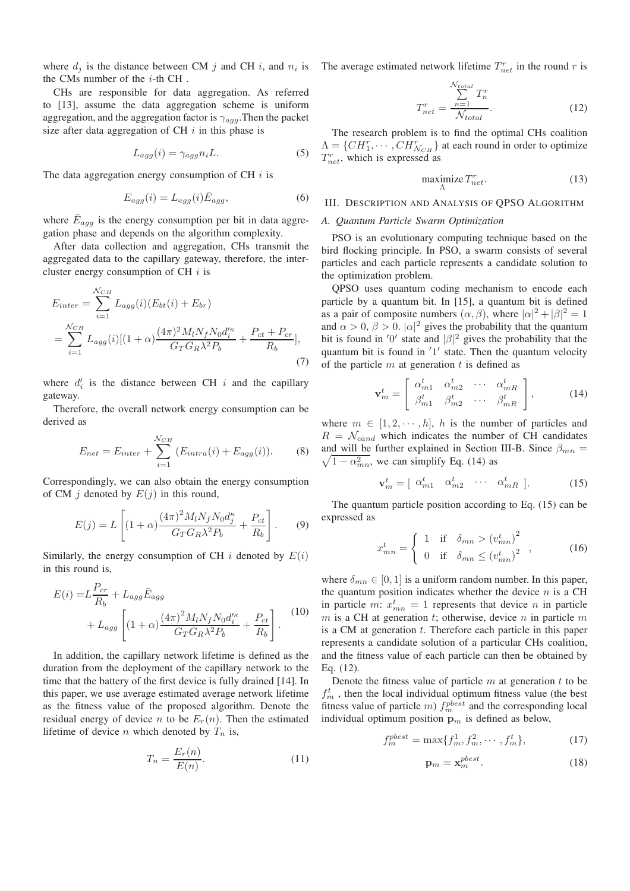where  $d_j$  is the distance between CM j and CH i, and  $n_i$  is the CMs number of the  $i$ -th CH.

CHs are responsible for data aggregation. As referred to [13], assume the data aggregation scheme is uniform aggregation, and the aggregation factor is  $\gamma_{agg}$ . Then the packet size after data aggregation of CH  $i$  in this phase is

$$
L_{agg}(i) = \gamma_{agg} n_i L. \tag{5}
$$

The data aggregation energy consumption of CH  $i$  is

$$
E_{agg}(i) = L_{agg}(i)\bar{E}_{agg},\tag{6}
$$

where  $\bar{E}_{agg}$  is the energy consumption per bit in data aggregation phase and depends on the algorithm complexity.

After data collection and aggregation, CHs transmit the aggregated data to the capillary gateway, therefore, the intercluster energy consumption of CH  $i$  is

$$
E_{inter} = \sum_{i=1}^{N_{CH}} L_{agg}(i)(E_{bt}(i) + E_{br})
$$
  
= 
$$
\sum_{i=1}^{N_{CH}} L_{agg}(i)[(1+\alpha)\frac{(4\pi)^2 M_l N_f N_0 d_i^{\prime \kappa}}{G_T G_R \lambda^2 P_b} + \frac{P_{ct} + P_{cr}}{R_b}],
$$
  
(7)

where  $d_i$  is the distance between CH i and the capillary gateway.

Therefore, the overall network energy consumption can be derived as

$$
E_{net} = E_{inter} + \sum_{i=1}^{N_{CH}} (E_{intra}(i) + E_{agg}(i)).
$$
 (8)

Correspondingly, we can also obtain the energy consumption of CM j denoted by  $E(j)$  in this round,

$$
E(j) = L \left[ (1 + \alpha) \frac{(4\pi)^2 M_l N_f N_0 d_j^{\kappa}}{G_T G_R \lambda^2 P_b} + \frac{P_{ct}}{R_b} \right].
$$
 (9)

Similarly, the energy consumption of CH  $i$  denoted by  $E(i)$ in this round is,

$$
E(i) = L \frac{P_{cr}}{R_b} + L_{agg} \bar{E}_{agg} + L_{agg} \left[ (1 + \alpha) \frac{(4\pi)^2 M_l N_f N_0 d_i^{\prime \kappa}}{G_T G_R \lambda^2 P_b} + \frac{P_{ct}}{R_b} \right].
$$
 (10)

In addition, the capillary network lifetime is defined as the duration from the deployment of the capillary network to the time that the battery of the first device is fully drained [14]. In this paper, we use average estimated average network lifetime as the fitness value of the proposed algorithm. Denote the residual energy of device n to be  $E_r(n)$ . Then the estimated lifetime of device *n* which denoted by  $T_n$  is,

$$
T_n = \frac{E_r(n)}{E(n)}.\t(11)
$$

The average estimated network lifetime  $T_{net}^r$  in the round r is

$$
T_{net}^r = \frac{\sum_{n=1}^{N_{total}} T_n^r}{N_{total}}.
$$
\n(12)

The research problem is to find the optimal CHs coalition  $\Lambda = \{CH_1^r, \cdots, CH_{N_{CH}}^r\}$  at each round in order to optimize  $T_{net}^r$ , which is expressed as

$$
\begin{array}{ll}\n\text{maximize } T_{net}^r.\n\end{array} \n\tag{13}
$$

# III. DESCRIPTION AND ANALYSIS OF QPSO ALGORITHM

#### *A. Quantum Particle Swarm Optimization*

PSO is an evolutionary computing technique based on the bird flocking principle. In PSO, a swarm consists of several particles and each particle represents a candidate solution to the optimization problem.

QPSO uses quantum coding mechanism to encode each particle by a quantum bit. In [15], a quantum bit is defined as a pair of composite numbers  $(\alpha, \beta)$ , where  $|\alpha|^2 + |\beta|^2 = 1$ and  $\alpha > 0$ ,  $\beta > 0$ .  $|\alpha|^2$  gives the probability that the quantum bit is found in '0' state and  $|\beta|^2$  gives the probability that the quantum bit is found in ′1 ′ state. Then the quantum velocity of the particle  $m$  at generation  $t$  is defined as

$$
\mathbf{v}_m^t = \begin{bmatrix} \alpha_{m1}^t & \alpha_{m2}^t & \cdots & \alpha_{mR}^t \\ \beta_{m1}^t & \beta_{m2}^t & \cdots & \beta_{mR}^t \end{bmatrix},
$$
 (14)

where  $m \in [1, 2, \dots, h]$ , h is the number of particles and  $R = \mathcal{N}_{cand}$  which indicates the number of CH candidates  $\sqrt{1 - \alpha_{mn}^2}$ , we can simplify Eq. (14) as and will be further explained in Section III-B. Since  $\beta_{mn} =$ 

$$
\mathbf{v}_m^t = \left[ \begin{array}{cccc} \alpha_{m1}^t & \alpha_{m2}^t & \cdots & \alpha_{mR}^t \end{array} \right]. \tag{15}
$$

The quantum particle position according to Eq. (15) can be expressed as

$$
x_{mn}^t = \begin{cases} 1 & \text{if } \delta_{mn} > (v_{mn}^t)^2 \\ 0 & \text{if } \delta_{mn} \le (v_{mn}^t)^2 \end{cases}, \quad (16)
$$

where  $\delta_{mn} \in [0, 1]$  is a uniform random number. In this paper, the quantum position indicates whether the device  $n$  is a CH in particle m:  $x_{mn}^t = 1$  represents that device n in particle  $m$  is a CH at generation  $t$ ; otherwise, device  $n$  in particle  $m$ is a CM at generation  $t$ . Therefore each particle in this paper represents a candidate solution of a particular CHs coalition, and the fitness value of each particle can then be obtained by Eq. (12).

Denote the fitness value of particle  $m$  at generation  $t$  to be  $f_m^t$ , then the local individual optimum fitness value (the best fitness value of particle *m*)  $f_m^{pbest}$  and the corresponding local individual optimum position  $p_m$  is defined as below,

$$
f_m^{pbest} = \max\{f_m^1, f_m^2, \cdots, f_m^t\},\tag{17}
$$

$$
\mathbf{p}_m = \mathbf{x}_m^{pbest}.\tag{18}
$$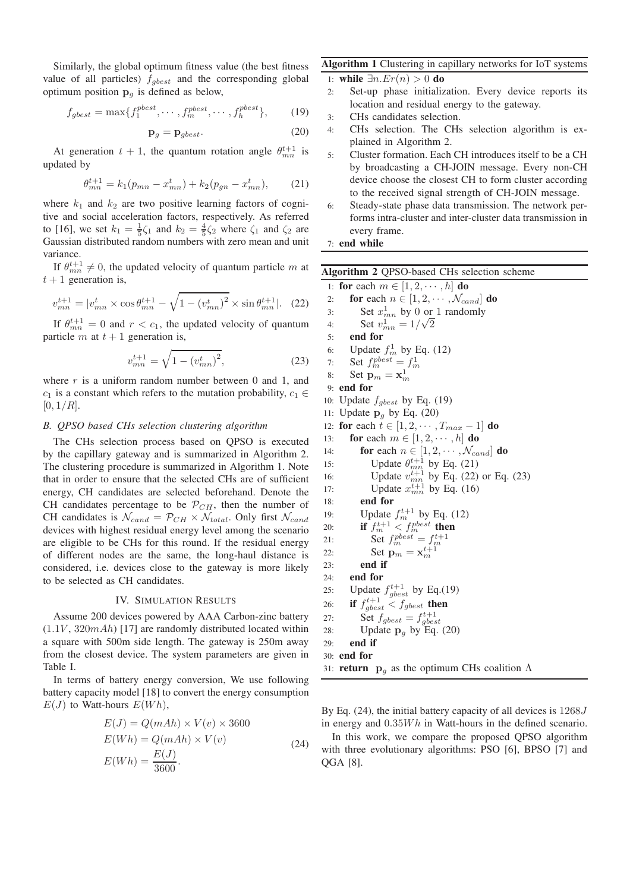Similarly, the global optimum fitness value (the best fitness value of all particles)  $f_{gbest}$  and the corresponding global optimum position  $\mathbf{p}_q$  is defined as below,

$$
f_{gbest} = \max\{f_1^{pbest}, \cdots, f_m^{pbest}, \cdots, f_h^{pbest}\},\qquad(19)
$$

$$
\mathbf{p}_g = \mathbf{p}_{gbest}.\tag{20}
$$

At generation  $t + 1$ , the quantum rotation angle  $\theta_{mn}^{t+1}$  is updated by

$$
\theta_{mn}^{t+1} = k_1(p_{mn} - x_{mn}^t) + k_2(p_{gn} - x_{mn}^t), \qquad (21)
$$

where  $k_1$  and  $k_2$  are two positive learning factors of cognitive and social acceleration factors, respectively. As referred to [16], we set  $k_1 = \frac{1}{5}\zeta_1$  and  $k_2 = \frac{4}{5}\zeta_2$  where  $\zeta_1$  and  $\zeta_2$  are Gaussian distributed random numbers with zero mean and unit variance.

If  $\theta_{mn}^{t+1} \neq 0$ , the updated velocity of quantum particle m at  $t + 1$  generation is,

$$
v_{mn}^{t+1} = |v_{mn}^t \times \cos \theta_{mn}^{t+1} - \sqrt{1 - (v_{mn}^t)^2} \times \sin \theta_{mn}^{t+1}|.
$$
 (22)

If  $\theta_{mn}^{t+1} = 0$  and  $r < c_1$ , the updated velocity of quantum particle m at  $t + 1$  generation is,

$$
v_{mn}^{t+1} = \sqrt{1 - (v_{mn}^t)^2},\tag{23}
$$

where  $r$  is a uniform random number between 0 and 1, and  $c_1$  is a constant which refers to the mutation probability,  $c_1 \in$  $[0, 1/R]$ .

## *B. QPSO based CHs selection clustering algorithm*

The CHs selection process based on QPSO is executed by the capillary gateway and is summarized in Algorithm 2. The clustering procedure is summarized in Algorithm 1. Note that in order to ensure that the selected CHs are of sufficient energy, CH candidates are selected beforehand. Denote the CH candidates percentage to be  $\mathcal{P}_{CH}$ , then the number of CH candidates is  $\mathcal{N}_{cand} = \mathcal{P}_{CH} \times \mathcal{N}_{total}$ . Only first  $\mathcal{N}_{cand}$ devices with highest residual energy level among the scenario are eligible to be CHs for this round. If the residual energy of different nodes are the same, the long-haul distance is considered, i.e. devices close to the gateway is more likely to be selected as CH candidates.

#### IV. SIMULATION RESULTS

Assume 200 devices powered by AAA Carbon-zinc battery  $(1.1V, 320mA)$  [17] are randomly distributed located within a square with 500m side length. The gateway is 250m away from the closest device. The system parameters are given in Table I.

In terms of battery energy conversion, We use following battery capacity model [18] to convert the energy consumption  $E(J)$  to Watt-hours  $E(Wh)$ ,

$$
E(J) = Q(mAh) \times V(v) \times 3600
$$
  
\n
$$
E(Wh) = Q(mAh) \times V(v)
$$
  
\n
$$
E(Wh) = \frac{E(J)}{3600}.
$$
\n(24)

# Algorithm 1 Clustering in capillary networks for IoT systems

1: **while**  $\exists n.Er(n) > 0$  **do**<br>2: Set-up phase initializ

- Set-up phase initialization. Every device reports its location and residual energy to the gateway.
- 3: CHs candidates selection.
- 4: CHs selection. The CHs selection algorithm is explained in Algorithm 2.
- 5: Cluster formation. Each CH introduces itself to be a CH by broadcasting a CH-JOIN message. Every non-CH device choose the closest CH to form cluster according to the received signal strength of CH-JOIN message.
- 6: Steady-state phase data transmission. The network performs intra-cluster and inter-cluster data transmission in every frame.

# 7: end while

| <b>Algorithm 2 QPSO-based CHs selection scheme</b>                                             |  |  |
|------------------------------------------------------------------------------------------------|--|--|
| for each $m \in [1, 2, \cdots, h]$ do<br>1:                                                    |  |  |
| for each $n \in [1, 2, \cdots, \mathcal{N}_{cand}]$ do<br>2:                                   |  |  |
| Set $x_{mn}^1$ by 0 or 1 randomly<br>3:                                                        |  |  |
| Set $v_{mn}^1 = 1/\sqrt{2}$<br>4:                                                              |  |  |
| end for<br>5:                                                                                  |  |  |
| 6:                                                                                             |  |  |
| Update $f_m^1$ by Eq. (12)<br>Set $f_m^{pbest} = f_m^1$<br>7:                                  |  |  |
| Set $\mathbf{p}_m = \mathbf{x}_m^1$<br>8:                                                      |  |  |
| end for<br>9:                                                                                  |  |  |
| Update $f_{gbest}$ by Eq. (19)<br>10:                                                          |  |  |
| Update $\mathbf{p}_q$ by Eq. (20)<br>11:                                                       |  |  |
| for each $t \in [1, 2, \cdots, T_{max} - 1]$ do<br>12:                                         |  |  |
| for each $m \in [1, 2, \dots, h]$ do<br>13:                                                    |  |  |
| for each $n \in [1, 2, \cdots, \mathcal{N}_{cand}]$ do<br>14:                                  |  |  |
| Update $\theta_{mn}^{t+1}$ by Eq. (21)<br>Update $v_{mn}^{t+1}$ by Eq. (22) or Eq. (23)<br>15: |  |  |
| 16:                                                                                            |  |  |
| Update $x_{mn}^{t+1}$ by Eq. (16)<br>17:                                                       |  |  |
| end for<br>18:                                                                                 |  |  |
| Update $f_m^{t+1}$ by Eq. (12)<br>19:                                                          |  |  |
| if $f_m^{t+1} < f_m^{pbest}$ then<br>Set $f_m^{pbest} = f_m^{t+1}$<br>20:                      |  |  |
| 21:                                                                                            |  |  |
| Set $\mathbf{p}_m = \mathbf{x}_m^{t+1}$<br>22:                                                 |  |  |
| end if<br>23:                                                                                  |  |  |
| end for<br>24:                                                                                 |  |  |
| Update $f_{gbest}^{t+1}$ by Eq.(19)<br>25:                                                     |  |  |
| <b>if</b> $f_{gbest}^{t+1} < f_{gbest}$ then<br>Set $f_{gbest} = f_{gbest}^{t+1}$<br>26:       |  |  |
| 27:                                                                                            |  |  |
| Update $\mathbf{p}_q$ by Eq. (20)<br>28:                                                       |  |  |
| end if<br>29:                                                                                  |  |  |
| end for<br>30:                                                                                 |  |  |
| 31: <b>return</b> $\mathbf{p}_q$ as the optimum CHs coalition $\Lambda$                        |  |  |
|                                                                                                |  |  |

By Eq. (24), the initial battery capacity of all devices is  $1268J$ in energy and  $0.35Wh$  in Watt-hours in the defined scenario.

In this work, we compare the proposed QPSO algorithm with three evolutionary algorithms: PSO [6], BPSO [7] and QGA [8].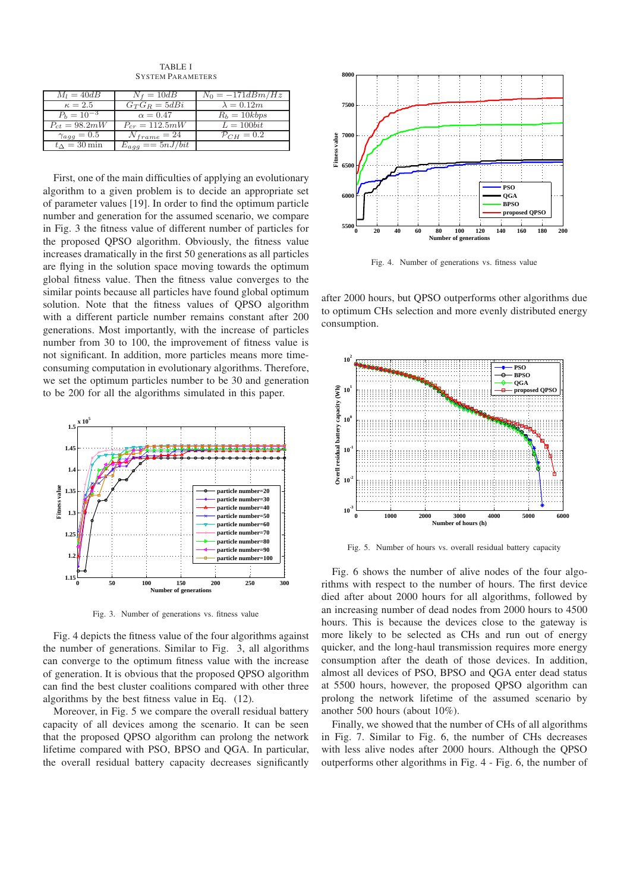TABLE I SYSTEM PARAMETERS

| $M_l = 40dB$               | $N_f = 10dB$        | $N_0 = -171dBm/Hz$       |
|----------------------------|---------------------|--------------------------|
| $\kappa=2.5$               | $G_T G_R = 5dB_i$   | $\lambda = 0.12m$        |
| $P_h = 10^{-3}$            | $\alpha = 0.47$     | $R_h = 10kbps$           |
| $P_{ct} = 98.2 mW$         | $P_{cr} = 112.5 mW$ | $L = 100bit$             |
| $\gamma_{a\bar{q}q} = 0.5$ | $N_{frame} = 24$    | $\mathcal{P}_{CH} = 0.2$ |
| $t_{\Delta} = 30$ min      | $E_{aaa} = 5nJ/bit$ |                          |

First, one of the main difficulties of applying an evolutionary algorithm to a given problem is to decide an appropriate set of parameter values [19]. In order to find the optimum particle number and generation for the assumed scenario, we compare in Fig. 3 the fitness value of different number of particles for the proposed QPSO algorithm. Obviously, the fitness value increases dramatically in the first 50 generations as all particles are flying in the solution space moving towards the optimum global fitness value. Then the fitness value converges to the similar points because all particles have found global optimum solution. Note that the fitness values of QPSO algorithm with a different particle number remains constant after 200 generations. Most importantly, with the increase of particles number from 30 to 100, the improvement of fitness value is not significant. In addition, more particles means more timeconsuming computation in evolutionary algorithms. Therefore, we set the optimum particles number to be 30 and generation to be 200 for all the algorithms simulated in this paper.



Fig. 3. Number of generations vs. fitness value

Fig. 4 depicts the fitness value of the four algorithms against the number of generations. Similar to Fig. 3, all algorithms can converge to the optimum fitness value with the increase of generation. It is obvious that the proposed QPSO algorithm can find the best cluster coalitions compared with other three algorithms by the best fitness value in Eq. (12).

Moreover, in Fig. 5 we compare the overall residual battery capacity of all devices among the scenario. It can be seen that the proposed QPSO algorithm can prolong the network lifetime compared with PSO, BPSO and QGA. In particular, the overall residual battery capacity decreases significantly



Fig. 4. Number of generations vs. fitness value

after 2000 hours, but QPSO outperforms other algorithms due to optimum CHs selection and more evenly distributed energy consumption.



Fig. 5. Number of hours vs. overall residual battery capacity

Fig. 6 shows the number of alive nodes of the four algorithms with respect to the number of hours. The first device died after about 2000 hours for all algorithms, followed by an increasing number of dead nodes from 2000 hours to 4500 hours. This is because the devices close to the gateway is more likely to be selected as CHs and run out of energy quicker, and the long-haul transmission requires more energy consumption after the death of those devices. In addition, almost all devices of PSO, BPSO and QGA enter dead status at 5500 hours, however, the proposed QPSO algorithm can prolong the network lifetime of the assumed scenario by another 500 hours (about 10%).

Finally, we showed that the number of CHs of all algorithms in Fig. 7. Similar to Fig. 6, the number of CHs decreases with less alive nodes after 2000 hours. Although the QPSO outperforms other algorithms in Fig. 4 - Fig. 6, the number of